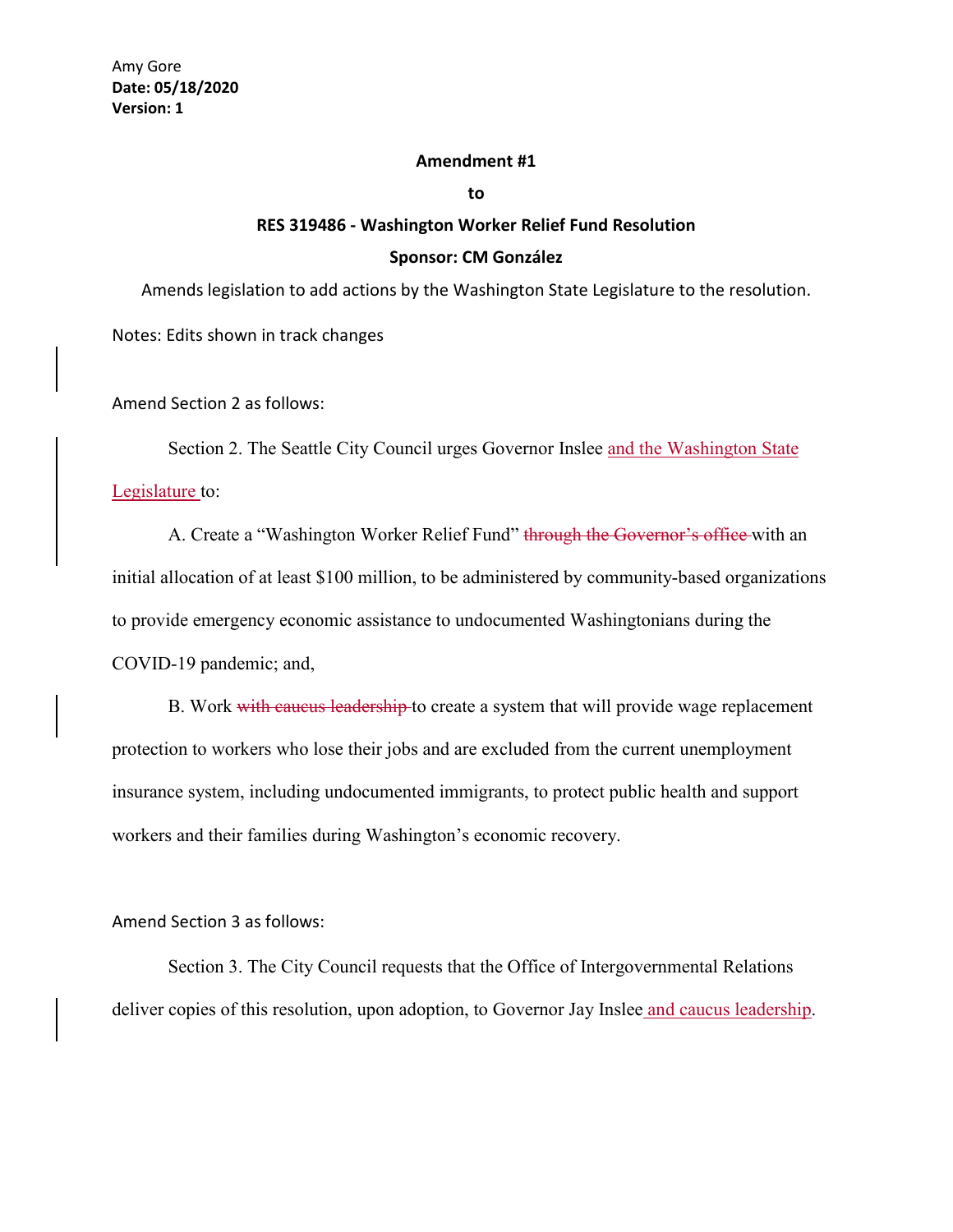## **Amendment #1**

**to**

## **RES 319486 - Washington Worker Relief Fund Resolution Sponsor: CM González**

Amends legislation to add actions by the Washington State Legislature to the resolution.

Notes: Edits shown in track changes

Amend Section 2 as follows:

Section 2. The Seattle City Council urges Governor Inslee and the Washington State Legislature to:

A. Create a "Washington Worker Relief Fund" through the Governor's office with an initial allocation of at least \$100 million, to be administered by community-based organizations to provide emergency economic assistance to undocumented Washingtonians during the COVID-19 pandemic; and,

B. Work with caucus leadership to create a system that will provide wage replacement protection to workers who lose their jobs and are excluded from the current unemployment insurance system, including undocumented immigrants, to protect public health and support workers and their families during Washington's economic recovery.

## Amend Section 3 as follows:

Section 3. The City Council requests that the Office of Intergovernmental Relations deliver copies of this resolution, upon adoption, to Governor Jay Inslee and caucus leadership.